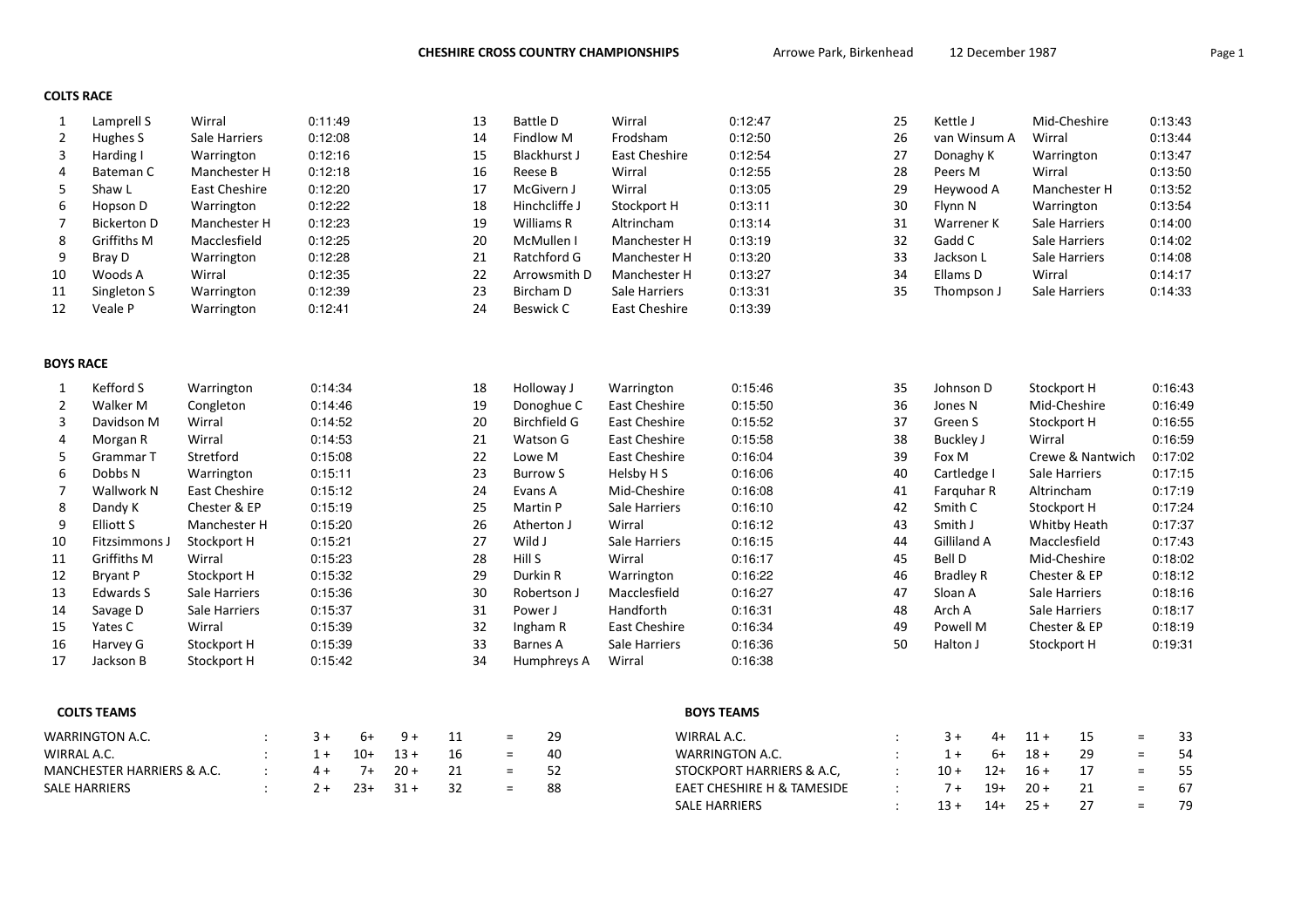EAET CHESHIRE H & TAMESIDE :  $7 + 19 + 20 + 21 = 6$ 

SALE HARRIERS : 13 + 14 + 25 + 27 =

#### COLTS RACE

| 1                          | Lamprell S         | Wirral        |  | 0:11:49 |       |        |    | 13 | <b>Battle D</b>     | Wirral                  | 0:12:47                   | 25 | Kettle J         |       |             | Mid-Cheshire     |          | 0:13:43 |
|----------------------------|--------------------|---------------|--|---------|-------|--------|----|----|---------------------|-------------------------|---------------------------|----|------------------|-------|-------------|------------------|----------|---------|
| $\overline{2}$             | Hughes S           | Sale Harriers |  | 0:12:08 |       |        |    | 14 | Findlow M           | Frodsham                | 0:12:50                   | 26 | van Winsum A     |       | Wirral      |                  |          | 0:13:44 |
| 3                          | Harding I          | Warrington    |  | 0:12:16 |       |        |    | 15 | <b>Blackhurst J</b> | East Cheshire           | 0:12:54                   | 27 | Donaghy K        |       |             | Warrington       |          | 0:13:47 |
| 4                          | Bateman C          | Manchester H  |  | 0:12:18 |       |        |    | 16 | Reese B             | Wirral                  | 0:12:55                   | 28 | Peers M          |       | Wirral      |                  |          | 0:13:50 |
| 5                          | Shaw L             | East Cheshire |  | 0:12:20 |       |        |    | 17 | McGivern J          | Wirral                  | 0:13:05                   | 29 | Heywood A        |       |             | Manchester H     |          | 0:13:52 |
| 6                          | Hopson D           | Warrington    |  | 0:12:22 |       |        |    | 18 | Hinchcliffe J       | Stockport H             | 0:13:11                   | 30 | Flynn N          |       |             | Warrington       |          | 0:13:54 |
| $\overline{7}$             | <b>Bickerton D</b> | Manchester H  |  | 0:12:23 |       |        |    | 19 | Williams R          | Altrincham              | 0:13:14                   | 31 | Warrener K       |       |             | Sale Harriers    |          | 0:14:00 |
| 8                          | Griffiths M        | Macclesfield  |  | 0:12:25 |       |        |    | 20 | McMullen I          | Manchester H            | 0:13:19                   | 32 | Gadd C           |       |             | Sale Harriers    |          | 0:14:02 |
| 9                          | Bray D             | Warrington    |  | 0:12:28 |       |        |    | 21 | Ratchford G         | Manchester H            | 0:13:20                   | 33 | Jackson L        |       |             | Sale Harriers    |          | 0:14:08 |
| 10                         | Woods A            | Wirral        |  | 0:12:35 |       |        |    | 22 | Arrowsmith D        | 0:13:27<br>Manchester H |                           | 34 | Ellams D         |       | Wirral      |                  |          | 0:14:17 |
| 11                         | Singleton S        | Warrington    |  | 0:12:39 |       |        |    | 23 | <b>Bircham D</b>    | Sale Harriers           | 0:13:31                   | 35 | Thompson J       |       |             | Sale Harriers    |          | 0:14:33 |
| 12                         | Veale P            | Warrington    |  | 0:12:41 |       |        |    | 24 | <b>Beswick C</b>    | <b>East Cheshire</b>    | 0:13:39                   |    |                  |       |             |                  |          |         |
| <b>BOYS RACE</b>           |                    |               |  |         |       |        |    |    |                     |                         |                           |    |                  |       |             |                  |          |         |
| 1                          | Kefford S          | Warrington    |  | 0:14:34 |       |        |    | 18 | Holloway J          | Warrington              | 0:15:46                   | 35 | Johnson D        |       |             | Stockport H      |          | 0:16:43 |
| 2                          | Walker M           | Congleton     |  | 0:14:46 |       |        |    | 19 | Donoghue C          | <b>East Cheshire</b>    | 0:15:50                   | 36 | Jones N          |       |             | Mid-Cheshire     |          | 0:16:49 |
| 3                          | Davidson M         | Wirral        |  | 0:14:52 |       |        |    | 20 | <b>Birchfield G</b> | East Cheshire           | 0:15:52                   | 37 | Green S          |       | Stockport H |                  |          | 0:16:55 |
| 4                          | Morgan R           | Wirral        |  | 0:14:53 |       |        |    | 21 | Watson G            | <b>East Cheshire</b>    | 0:15:58                   | 38 | Buckley J        |       | Wirral      |                  |          | 0:16:59 |
| 5                          | Grammar T          | Stretford     |  | 0:15:08 |       |        |    | 22 | Lowe M              | <b>East Cheshire</b>    | 0:16:04                   | 39 | Fox M            |       |             | Crewe & Nantwich |          | 0:17:02 |
| 6                          | Dobbs N            | Warrington    |  | 0:15:11 |       |        |    | 23 | <b>Burrow S</b>     | Helsby H S              | 0:16:06                   | 40 | Cartledge I      |       |             | Sale Harriers    |          | 0:17:15 |
| $\overline{7}$             | Wallwork N         | East Cheshire |  | 0:15:12 |       |        |    | 24 | Evans A             | Mid-Cheshire            | 0:16:08                   | 41 | Farquhar R       |       |             | Altrincham       |          | 0:17:19 |
| 8                          | Dandy K            | Chester & EP  |  | 0:15:19 |       |        |    | 25 | Martin P            | Sale Harriers           | 0:16:10                   | 42 | Smith C          |       |             | Stockport H      |          | 0:17:24 |
| 9                          | <b>Elliott S</b>   | Manchester H  |  | 0:15:20 |       |        |    | 26 | Atherton J          | Wirral                  | 0:16:12                   | 43 | Smith J          |       |             | Whitby Heath     |          | 0:17:37 |
| 10                         | Fitzsimmons J      | Stockport H   |  | 0:15:21 |       |        |    | 27 | Wild J              | Sale Harriers           | 0:16:15                   | 44 | Gilliland A      |       |             | Macclesfield     |          | 0:17:43 |
| 11                         | Griffiths M        | Wirral        |  | 0:15:23 |       |        |    | 28 | Hill S              | Wirral                  | 0:16:17                   | 45 | <b>Bell D</b>    |       |             | Mid-Cheshire     |          | 0:18:02 |
| 12                         | <b>Bryant P</b>    | Stockport H   |  | 0:15:32 |       |        |    | 29 | Durkin R            | Warrington              | 0:16:22                   | 46 | <b>Bradley R</b> |       |             | Chester & EP     |          | 0:18:12 |
| 13                         | Edwards S          | Sale Harriers |  | 0:15:36 |       |        |    | 30 | Robertson J         | Macclesfield            | 0:16:27                   | 47 | Sloan A          |       |             | Sale Harriers    |          | 0:18:16 |
| 14                         | Savage D           | Sale Harriers |  | 0:15:37 |       |        |    | 31 | Power J             | Handforth               | 0:16:31                   | 48 | Arch A           |       |             | Sale Harriers    |          | 0:18:17 |
| 15                         | Yates C            | Wirral        |  | 0:15:39 |       |        |    | 32 | Ingham R            | East Cheshire           | 0:16:34                   | 49 | Powell M         |       |             | Chester & EP     |          | 0:18:19 |
| 16                         | Harvey G           | Stockport H   |  | 0:15:39 |       |        |    | 33 | <b>Barnes A</b>     | Sale Harriers           | 0:16:36                   | 50 | Halton J         |       |             | Stockport H      |          | 0:19:31 |
| 17                         | Jackson B          | Stockport H   |  | 0:15:42 |       |        |    | 34 | Humphreys A         | Wirral                  | 0:16:38                   |    |                  |       |             |                  |          |         |
|                            | <b>COLTS TEAMS</b> |               |  |         |       |        |    |    |                     |                         | <b>BOYS TEAMS</b>         |    |                  |       |             |                  |          |         |
|                            |                    |               |  |         |       |        |    |    |                     |                         |                           |    |                  |       |             |                  |          |         |
|                            | WARRINGTON A.C.    |               |  | $3+$    | 6+    | $9+$   | 11 |    | 29<br>$\equiv$      |                         | WIRRAL A.C.               |    | $3+$             | $4+$  | $11 +$      | 15               | $\equiv$ | 33      |
| WIRRAL A.C.                |                    |               |  | $1 +$   | $10+$ | $13 +$ | 16 |    | 40<br>$\equiv$      |                         | <b>WARRINGTON A.C.</b>    |    | $1+$             | $6+$  | $18 +$      | 29               | $=$      | 54      |
| MANCHESTER HARRIERS & A.C. |                    |               |  | $4 +$   | $7+$  | $20 +$ | 21 |    | 52<br>$=$           |                         | STOCKPORT HARRIERS & A.C. |    | $10 +$           | $12+$ | $16 +$      | 17               | $=$      | 55      |

88

 $SALE HARRIERS$  :  $2+23+31+32 =$ 

67

79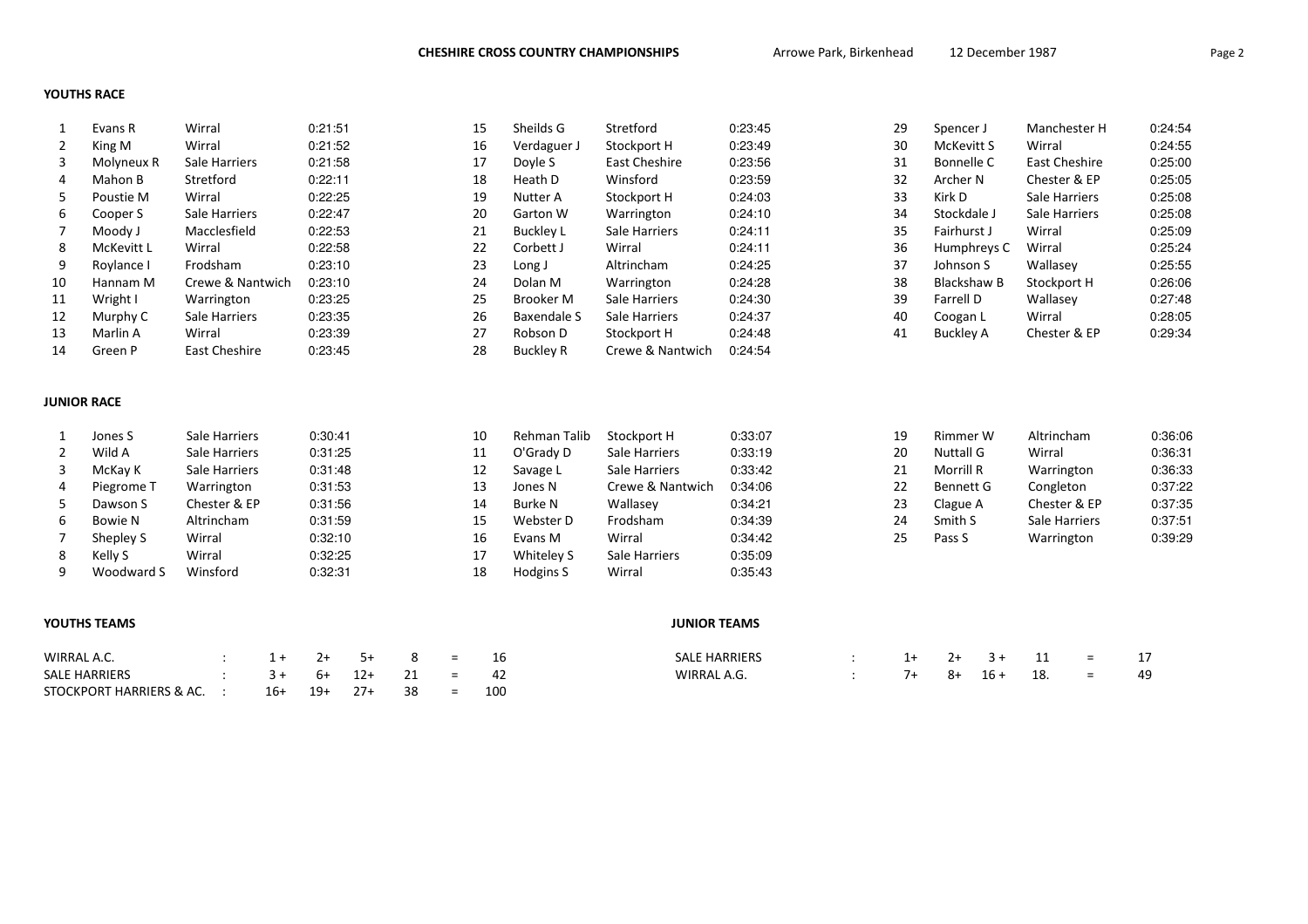## YOUTHS RACE

|    | Evans R    | Wirral           | 0:21:51 | 15 | Sheilds G        | Stretford        | 0:23:45 | 29 | Spencer J   | Manchester H  | 0:24:54 |
|----|------------|------------------|---------|----|------------------|------------------|---------|----|-------------|---------------|---------|
|    | King M     | Wirral           | 0:21:52 | 16 | Verdaguer J      | Stockport H      | 0:23:49 | 30 | McKevitt S  | Wirral        | 0:24:55 |
| 3  | Molyneux R | Sale Harriers    | 0:21:58 | 17 | Doyle S          | East Cheshire    | 0:23:56 | 31 | Bonnelle C  | East Cheshire | 0:25:00 |
| 4  | Mahon B    | Stretford        | 0:22:11 | 18 | Heath D          | Winsford         | 0:23:59 | 32 | Archer N    | Chester & EP  | 0:25:05 |
| 5. | Poustie M  | Wirral           | 0:22:25 | 19 | Nutter A         | Stockport H      | 0:24:03 | 33 | Kirk D      | Sale Harriers | 0:25:08 |
| 6  | Cooper S   | Sale Harriers    | 0:22:47 | 20 | Garton W         | Warrington       | 0:24:10 | 34 | Stockdale J | Sale Harriers | 0:25:08 |
|    | Moody J    | Macclesfield     | 0:22:53 | 21 | Buckley L        | Sale Harriers    | 0:24:11 | 35 | Fairhurst J | Wirral        | 0:25:09 |
| 8  | McKevitt L | Wirral           | 0:22:58 | 22 | Corbett J        | Wirral           | 0:24:11 | 36 | Humphreys C | Wirral        | 0:25:24 |
| 9  | Roylance I | Frodsham         | 0:23:10 | 23 | Long J           | Altrincham       | 0:24:25 | 37 | Johnson S   | Wallasey      | 0:25:55 |
| 10 | Hannam M   | Crewe & Nantwich | 0:23:10 | 24 | Dolan M          | Warrington       | 0:24:28 | 38 | Blackshaw B | Stockport H   | 0:26:06 |
| 11 | Wright I   | Warrington       | 0:23:25 | 25 | Brooker M        | Sale Harriers    | 0:24:30 | 39 | Farrell D   | Wallasey      | 0:27:48 |
| 12 | Murphy C   | Sale Harriers    | 0:23:35 | 26 | Baxendale S      | Sale Harriers    | 0:24:37 | 40 | Coogan L    | Wirral        | 0:28:05 |
| 13 | Marlin A   | Wirral           | 0:23:39 | 27 | Robson D         | Stockport H      | 0:24:48 | 41 | Buckley A   | Chester & EP  | 0:29:34 |
| 14 | Green P    | East Cheshire    | 0:23:45 | 28 | <b>Buckley R</b> | Crewe & Nantwich | 0:24:54 |    |             |               |         |

## JUNIOR RACE

|   | Jones S    | Sale Harriers | 0:30:41 | 10 | Rehman Talib | Stockport H      | 0:33:07 | 19 | Rimmer W         | Altrincham    | 0:36:06 |
|---|------------|---------------|---------|----|--------------|------------------|---------|----|------------------|---------------|---------|
|   | Wild A     | Sale Harriers | 0:31:25 | 11 | O'Grady D    | Sale Harriers    | 0:33:19 | 20 | Nuttall G        | Wirral        | 0:36:31 |
|   | McKay K    | Sale Harriers | 0:31:48 | 12 | Savage L     | Sale Harriers    | 0:33:42 | 21 | Morrill R        | Warrington    | 0:36:33 |
| 4 | Piegrome T | Warrington    | 0:31:53 | 13 | Jones N      | Crewe & Nantwich | 0:34:06 | 22 | <b>Bennett G</b> | Congleton     | 0:37:22 |
|   | Dawson S   | Chester & EP  | 0:31:56 | 14 | Burke N      | Wallasey         | 0:34:21 | 23 | Clague A         | Chester & EP  | 0:37:35 |
|   | Bowie N    | Altrincham    | 0:31:59 | 15 | Webster D    | Frodsham         | 0:34:39 | 24 | Smith S          | Sale Harriers | 0:37:51 |
|   | Shepley S  | Wirral        | 0:32:10 | 16 | Evans M      | Wirral           | 0:34:42 | 25 | Pass S           | Warrington    | 0:39:29 |
|   | Kelly S    | Wirral        | 0:32:25 | 17 | Whiteley S   | Sale Harriers    | 0:35:09 |    |                  |               |         |
| a | Woodward S | Winsford      | 0:32:31 | 18 | Hodgins S    | Wirral           | 0:35:43 |    |                  |               |         |

## YOUTHS TEAMS

| WIRRAL A.C.                     |     |          |                          |  |
|---------------------------------|-----|----------|--------------------------|--|
| SALE HARRIERS                   |     | $6+$ 12+ | $\overline{\phantom{0}}$ |  |
| STOCKPORT HARRIERS & AC.      : | 16+ |          |                          |  |

### JUNIOR TEAMS

| <b>SALE HARRIERS</b> |  | 1+ | $-3+$  | $=$ |  |
|----------------------|--|----|--------|-----|--|
| WIRRAL A.G.          |  | 8+ | $16 +$ | $=$ |  |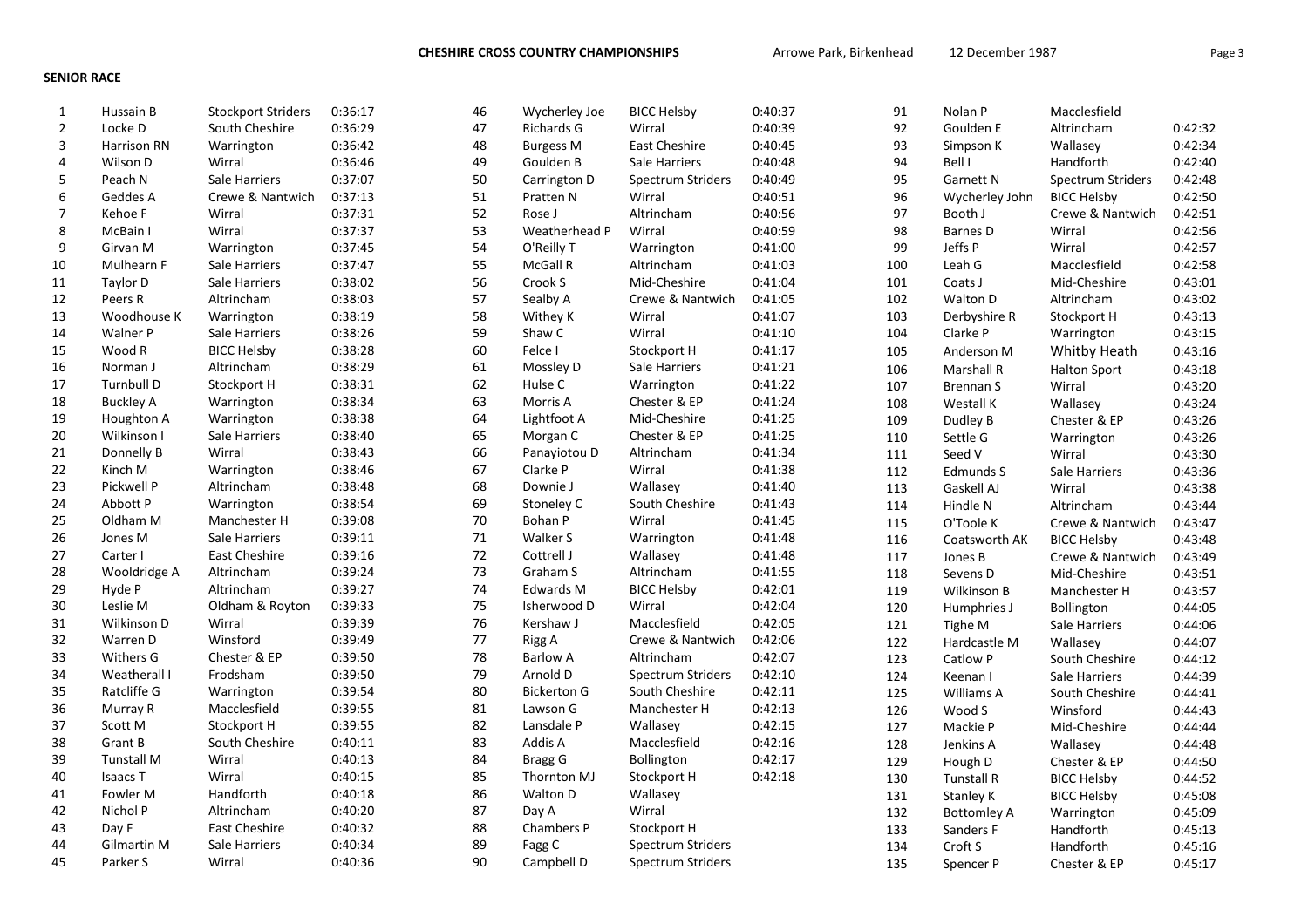CHESHIRE CROSS COUNTRY CHAMPIONSHIPS **Arrowe Park, Birkenhead** 12 December 1987 **Page 3** Page 3

# SENIOR RACE

| $\mathbf{1}$   | Hussain B          | <b>Stockport Striders</b> | 0:36:17 | 46     | Wycherley Joe      | <b>BICC Helsby</b>       | 0:40:37 | 91  | Nolan P            | Macclesfield        |         |
|----------------|--------------------|---------------------------|---------|--------|--------------------|--------------------------|---------|-----|--------------------|---------------------|---------|
| $\overline{2}$ | Locke D            | South Cheshire            | 0:36:29 | 47     | Richards G         | Wirral                   | 0:40:39 | 92  | Goulden E          | Altrincham          | 0:42:32 |
| 3              | Harrison RN        | Warrington                | 0:36:42 | 48     | <b>Burgess M</b>   | East Cheshire            | 0:40:45 | 93  | Simpson K          | Wallasev            | 0:42:34 |
| 4              | Wilson D           | Wirral                    | 0:36:46 | 49     | Goulden B          | Sale Harriers            | 0:40:48 | 94  | Bell I             | Handforth           | 0:42:40 |
| 5              | Peach N            | Sale Harriers             | 0:37:07 | 50     | Carrington D       | Spectrum Striders        | 0:40:49 | 95  | <b>Garnett N</b>   | Spectrum Striders   | 0:42:48 |
| 6              | Geddes A           | Crewe & Nantwich          | 0:37:13 | 51     | Pratten N          | Wirral                   | 0:40:51 | 96  | Wycherley John     | <b>BICC Helsby</b>  | 0:42:50 |
| $\overline{7}$ | Kehoe F            | Wirral                    | 0:37:31 | 52     | Rose J             | Altrincham               | 0:40:56 | 97  | Booth J            | Crewe & Nantwich    | 0:42:51 |
| 8              | McBain I           | Wirral                    | 0:37:37 | 53     | Weatherhead P      | Wirral                   | 0:40:59 | 98  | Barnes D           | Wirral              | 0:42:56 |
| 9              | Girvan M           | Warrington                | 0:37:45 | 54     | O'Reilly T         | Warrington               | 0:41:00 | 99  | Jeffs P            | Wirral              | 0:42:57 |
| 10             | Mulhearn F         | Sale Harriers             | 0:37:47 | 55     | McGall R           | Altrincham               | 0:41:03 | 100 | Leah G             | Macclesfield        | 0:42:58 |
| 11             | Taylor D           | Sale Harriers             | 0:38:02 | 56     | Crook S            | Mid-Cheshire             | 0:41:04 | 101 | Coats J            | Mid-Cheshire        | 0:43:01 |
| 12             | Peers R            | Altrincham                | 0:38:03 | 57     | Sealby A           | Crewe & Nantwich         | 0:41:05 | 102 | Walton D           | Altrincham          | 0:43:02 |
| 13             | Woodhouse K        | Warrington                | 0:38:19 | 58     | Withey K           | Wirral                   | 0:41:07 | 103 | Derbyshire R       | Stockport H         | 0:43:13 |
| 14             | Walner P           | Sale Harriers             | 0:38:26 | 59     | Shaw C             | Wirral                   | 0:41:10 | 104 | Clarke P           | Warrington          | 0:43:15 |
| 15             | Wood R             | <b>BICC Helsby</b>        | 0:38:28 | 60     | Felce I            | Stockport H              | 0:41:17 | 105 | Anderson M         | Whitby Heath        | 0:43:16 |
| 16             | Norman J           | Altrincham                | 0:38:29 | 61     | Mossley D          | Sale Harriers            | 0:41:21 | 106 | Marshall R         | <b>Halton Sport</b> | 0:43:18 |
| 17             | Turnbull D         | Stockport H               | 0:38:31 | 62     | Hulse C            | Warrington               | 0:41:22 | 107 | Brennan S          | Wirral              | 0:43:20 |
| 18             | <b>Buckley A</b>   | Warrington                | 0:38:34 | 63     | Morris A           | Chester & EP             | 0:41:24 | 108 | Westall K          | Wallasey            | 0:43:24 |
| 19             | Houghton A         | Warrington                | 0:38:38 | 64     | Lightfoot A        | Mid-Cheshire             | 0:41:25 | 109 | Dudley B           | Chester & EP        | 0:43:26 |
| 20             | Wilkinson I        | Sale Harriers             | 0:38:40 | 65     | Morgan C           | Chester & EP             | 0:41:25 | 110 | Settle G           | Warrington          | 0:43:26 |
| 21             | Donnelly B         | Wirral                    | 0:38:43 | 66     | Panayiotou D       | Altrincham               | 0:41:34 | 111 | Seed V             | Wirral              | 0:43:30 |
| 22             | Kinch M            | Warrington                | 0:38:46 | 67     | Clarke P           | Wirral                   | 0:41:38 | 112 | Edmunds S          | Sale Harriers       | 0:43:36 |
| 23             | Pickwell P         | Altrincham                | 0:38:48 | 68     | Downie J           | Wallasey                 | 0:41:40 | 113 | Gaskell AJ         | Wirral              | 0:43:38 |
| 24             | Abbott P           | Warrington                | 0:38:54 | 69     | Stoneley C         | South Cheshire           | 0:41:43 | 114 | Hindle N           | Altrincham          | 0:43:44 |
| 25             | Oldham M           | Manchester H              | 0:39:08 | 70     | Bohan P            | Wirral                   | 0:41:45 | 115 | O'Toole K          | Crewe & Nantwich    | 0:43:47 |
| 26             | Jones M            | Sale Harriers             | 0:39:11 | $71\,$ | Walker S           | Warrington               | 0:41:48 | 116 | Coatsworth AK      | <b>BICC Helsby</b>  | 0:43:48 |
| 27             | Carter I           | <b>East Cheshire</b>      | 0:39:16 | 72     | Cottrell J         | Wallasey                 | 0:41:48 | 117 | Jones B            | Crewe & Nantwich    | 0:43:49 |
| 28             | Wooldridge A       | Altrincham                | 0:39:24 | 73     | Graham S           | Altrincham               | 0:41:55 | 118 | Sevens D           | Mid-Cheshire        | 0:43:51 |
| 29             | Hyde P             | Altrincham                | 0:39:27 | 74     | <b>Edwards M</b>   | <b>BICC Helsby</b>       | 0:42:01 | 119 | Wilkinson B        | Manchester H        | 0:43:57 |
| 30             | Leslie M           | Oldham & Royton           | 0:39:33 | 75     | Isherwood D        | Wirral                   | 0:42:04 | 120 | Humphries J        | Bollington          | 0:44:05 |
| 31             | Wilkinson D        | Wirral                    | 0:39:39 | 76     | Kershaw J          | Macclesfield             | 0:42:05 | 121 | Tighe M            | Sale Harriers       | 0:44:06 |
| 32             | Warren D           | Winsford                  | 0:39:49 | 77     | Rigg A             | Crewe & Nantwich         | 0:42:06 | 122 | Hardcastle M       | Wallasev            | 0:44:07 |
| 33             | <b>Withers G</b>   | Chester & EP              | 0:39:50 | 78     | <b>Barlow A</b>    | Altrincham               | 0:42:07 | 123 | Catlow P           | South Cheshire      | 0:44:12 |
| 34             | Weatherall I       | Frodsham                  | 0:39:50 | 79     | Arnold D           | Spectrum Striders        | 0:42:10 | 124 | Keenan I           | Sale Harriers       | 0:44:39 |
| 35             | Ratcliffe G        | Warrington                | 0:39:54 | 80     | <b>Bickerton G</b> | South Cheshire           | 0:42:11 | 125 | Williams A         | South Cheshire      | 0:44:41 |
| 36             | Murray R           | Macclesfield              | 0:39:55 | 81     | Lawson G           | Manchester H             | 0:42:13 | 126 | Wood S             | Winsford            | 0:44:43 |
| 37             | Scott M            | Stockport H               | 0:39:55 | 82     | Lansdale P         | Wallasey                 | 0:42:15 | 127 | Mackie P           | Mid-Cheshire        | 0:44:44 |
| 38             | Grant B            | South Cheshire            | 0:40:11 | 83     | Addis A            | Macclesfield             | 0:42:16 | 128 | Jenkins A          | Wallasey            | 0:44:48 |
| 39             | <b>Tunstall M</b>  | Wirral                    | 0:40:13 | 84     | <b>Bragg G</b>     | Bollington               | 0:42:17 | 129 | Hough D            | Chester & EP        | 0:44:50 |
| 40             | <b>Isaacs T</b>    | Wirral                    | 0:40:15 | 85     | Thornton MJ        | Stockport H              | 0:42:18 | 130 | <b>Tunstall R</b>  | <b>BICC Helsby</b>  | 0:44:52 |
| 41             | Fowler M           | Handforth                 | 0:40:18 | 86     | Walton D           | Wallasey                 |         | 131 | Stanley K          | <b>BICC Helsby</b>  | 0:45:08 |
| 42             | Nichol P           | Altrincham                | 0:40:20 | 87     | Day A              | Wirral                   |         | 132 | <b>Bottomley A</b> | Warrington          | 0:45:09 |
| 43             | Day F              | <b>East Cheshire</b>      | 0:40:32 | 88     | Chambers P         | Stockport H              |         | 133 | Sanders F          | Handforth           | 0:45:13 |
| 44             | <b>Gilmartin M</b> | Sale Harriers             | 0:40:34 | 89     | Fagg C             | <b>Spectrum Striders</b> |         | 134 | Croft S            | Handforth           | 0:45:16 |
| 45             | Parker S           | Wirral                    | 0:40:36 | 90     | Campbell D         | Spectrum Striders        |         | 135 | Spencer P          | Chester & EP        | 0:45:17 |
|                |                    |                           |         |        |                    |                          |         |     |                    |                     |         |